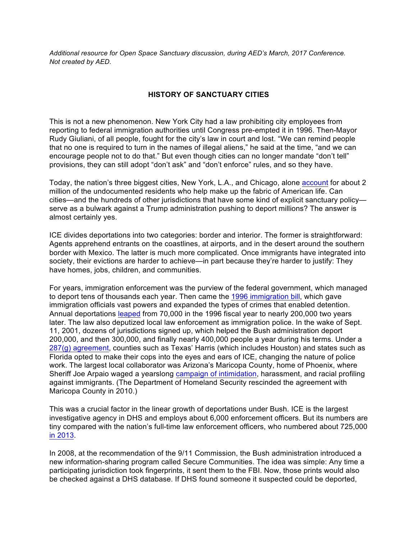*Additional resource for Open Space Sanctuary discussion, during AED's March, 2017 Conference. Not created by AED.*

## **HISTORY OF SANCTUARY CITIES**

This is not a new phenomenon. New York City had a law prohibiting city employees from reporting to federal immigration authorities until Congress pre-empted it in 1996. Then-Mayor Rudy Giuliani, of all people, fought for the city's law in court and lost. "We can remind people that no one is required to turn in the names of illegal aliens," he said at the time, "and we can encourage people not to do that." But even though cities can no longer mandate "don't tell" provisions, they can still adopt "don't ask" and "don't enforce" rules, and so they have.

Today, the nation's three biggest cities, New York, L.A., and Chicago, alone account for about 2 million of the undocumented residents who help make up the fabric of American life. Can cities—and the hundreds of other jurisdictions that have some kind of explicit sanctuary policy serve as a bulwark against a Trump administration pushing to deport millions? The answer is almost certainly yes.

ICE divides deportations into two categories: border and interior. The former is straightforward: Agents apprehend entrants on the coastlines, at airports, and in the desert around the southern border with Mexico. The latter is much more complicated. Once immigrants have integrated into society, their evictions are harder to achieve—in part because they're harder to justify: They have homes, jobs, children, and communities.

For years, immigration enforcement was the purview of the federal government, which managed to deport tens of thousands each year. Then came the 1996 immigration bill, which gave immigration officials vast powers and expanded the types of crimes that enabled detention. Annual deportations leaped from 70,000 in the 1996 fiscal year to nearly 200,000 two years later. The law also deputized local law enforcement as immigration police. In the wake of Sept. 11, 2001, dozens of jurisdictions signed up, which helped the Bush administration deport 200,000, and then 300,000, and finally nearly 400,000 people a year during his terms. Under a 287(g) agreement, counties such as Texas' Harris (which includes Houston) and states such as Florida opted to make their cops into the eyes and ears of ICE, changing the nature of police work. The largest local collaborator was Arizona's Maricopa County, home of Phoenix, where Sheriff Joe Arpaio waged a yearslong campaign of intimidation, harassment, and racial profiling against immigrants. (The Department of Homeland Security rescinded the agreement with Maricopa County in 2010.)

This was a crucial factor in the linear growth of deportations under Bush. ICE is the largest investigative agency in DHS and employs about 6,000 enforcement officers. But its numbers are tiny compared with the nation's full-time law enforcement officers, who numbered about 725,000 in 2013.

In 2008, at the recommendation of the 9/11 Commission, the Bush administration introduced a new information-sharing program called Secure Communities. The idea was simple: Any time a participating jurisdiction took fingerprints, it sent them to the FBI. Now, those prints would also be checked against a DHS database. If DHS found someone it suspected could be deported,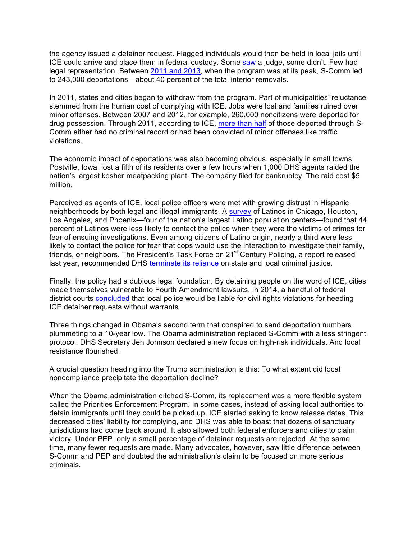the agency issued a detainer request. Flagged individuals would then be held in local jails until ICE could arrive and place them in federal custody. Some saw a judge, some didn't. Few had legal representation. Between 2011 and 2013, when the program was at its peak, S-Comm led to 243,000 deportations—about 40 percent of the total interior removals.

In 2011, states and cities began to withdraw from the program. Part of municipalities' reluctance stemmed from the human cost of complying with ICE. Jobs were lost and families ruined over minor offenses. Between 2007 and 2012, for example, 260,000 noncitizens were deported for drug possession. Through 2011, according to ICE, more than half of those deported through S-Comm either had no criminal record or had been convicted of minor offenses like traffic violations.

The economic impact of deportations was also becoming obvious, especially in small towns. Postville, Iowa, lost a fifth of its residents over a few hours when 1,000 DHS agents raided the nation's largest kosher meatpacking plant. The company filed for bankruptcy. The raid cost \$5 million.

Perceived as agents of ICE, local police officers were met with growing distrust in Hispanic neighborhoods by both legal and illegal immigrants. A survey of Latinos in Chicago, Houston, Los Angeles, and Phoenix—four of the nation's largest Latino population centers—found that 44 percent of Latinos were less likely to contact the police when they were the victims of crimes for fear of ensuing investigations. Even among citizens of Latino origin, nearly a third were less likely to contact the police for fear that cops would use the interaction to investigate their family, friends, or neighbors. The President's Task Force on 21<sup>st</sup> Century Policing, a report released last year, recommended DHS terminate its reliance on state and local criminal justice.

Finally, the policy had a dubious legal foundation. By detaining people on the word of ICE, cities made themselves vulnerable to Fourth Amendment lawsuits. In 2014, a handful of federal district courts concluded that local police would be liable for civil rights violations for heeding ICE detainer requests without warrants.

Three things changed in Obama's second term that conspired to send deportation numbers plummeting to a 10-year low. The Obama administration replaced S-Comm with a less stringent protocol. DHS Secretary Jeh Johnson declared a new focus on high-risk individuals. And local resistance flourished.

A crucial question heading into the Trump administration is this: To what extent did local noncompliance precipitate the deportation decline?

When the Obama administration ditched S-Comm, its replacement was a more flexible system called the Priorities Enforcement Program. In some cases, instead of asking local authorities to detain immigrants until they could be picked up, ICE started asking to know release dates. This decreased cities' liability for complying, and DHS was able to boast that dozens of sanctuary jurisdictions had come back around. It also allowed both federal enforcers and cities to claim victory. Under PEP, only a small percentage of detainer requests are rejected. At the same time, many fewer requests are made. Many advocates, however, saw little difference between S-Comm and PEP and doubted the administration's claim to be focused on more serious criminals.